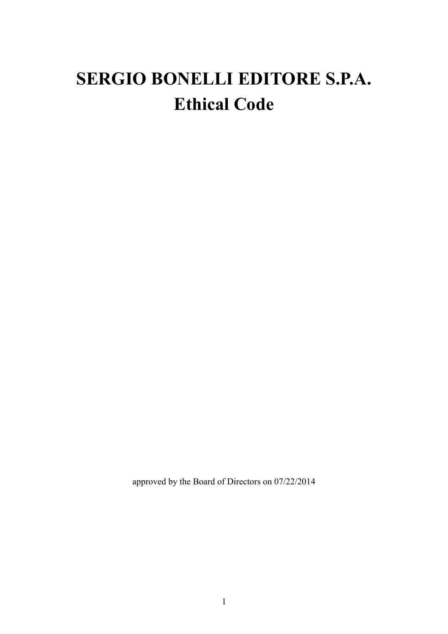# **SERGIO BONELLI EDITORE S.P.A. Ethical Code**

approved by the Board of Directors on 07/22/2014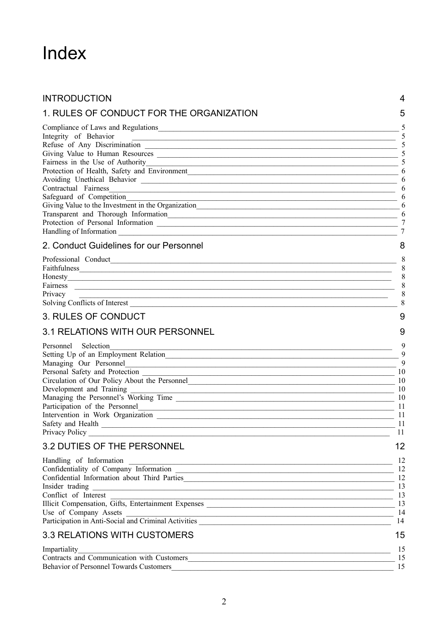# Index

| <b>INTRODUCTION</b>                                                                                                                                                                                                                                                                                                                                                                                      | 4                                                                 |
|----------------------------------------------------------------------------------------------------------------------------------------------------------------------------------------------------------------------------------------------------------------------------------------------------------------------------------------------------------------------------------------------------------|-------------------------------------------------------------------|
| 1. RULES OF CONDUCT FOR THE ORGANIZATION                                                                                                                                                                                                                                                                                                                                                                 | 5                                                                 |
| Integrity of Behavior<br>Fairness in the Use of Authority<br>Protection of Health, Safety and Environment                                                                                                                                                                                                                                                                                                | 5<br>5<br>5<br>5<br>5                                             |
| Contractual Fairness<br>Safeguard of Competition<br>Giving Value to the Investment in the Organization<br>Transparent and Thorough Information                                                                                                                                                                                                                                                           | 6<br>6<br>6<br>6<br>6<br>6<br>7<br>$\overline{7}$                 |
| 2. Conduct Guidelines for our Personnel<br>Fairness<br><u> 1989 - Johann Harry Harry Harry Harry Harry Harry Harry Harry Harry Harry Harry Harry Harry Harry Harry Harry</u><br>Privacy<br>,我们也不能在这里的时候,我们也不能会在这里,我们也不能会在这里的时候,我们也不能会在这里的时候,我们也不能会在这里的时候,我们也不能会在这里的时候,我们也不能                                                                                                                              | 8<br>8<br>8<br>8<br>8<br>8<br>8                                   |
| <b>3. RULES OF CONDUCT</b>                                                                                                                                                                                                                                                                                                                                                                               | 9                                                                 |
| <b>3.1 RELATIONS WITH OUR PERSONNEL</b><br>Personnel Selection<br>Managing Our Personnel<br>Personal Safety and Protection<br>Circulation of Our Policy About the Personnel<br>Development and Training<br>Participation of the Personnel<br>Safety and Health<br>Privacy Policy<br><u> 1989 - Johann Stein, marwolaethau a bhann an t-Amhain an t-Amhain an t-Amhain an t-Amhain an t-Amhain an t-A</u> | 9<br>9<br>9<br>9<br>10<br>10<br>10<br>10<br>11<br>11<br>-11<br>11 |
| <b>3.2 DUTIES OF THE PERSONNEL</b><br>Confidentiality of Company Information<br>Confidential Information about Third Parties<br>Conflict of Interest<br>Use of Company Assets                                                                                                                                                                                                                            | 12<br>12<br>12<br>12<br>13<br>13<br>14<br>14                      |
| <b>3.3 RELATIONS WITH CUSTOMERS</b>                                                                                                                                                                                                                                                                                                                                                                      | 15                                                                |
| Impartiality<br><b>Behavior of Personnel Towards Customers</b>                                                                                                                                                                                                                                                                                                                                           | 15<br>15<br>15                                                    |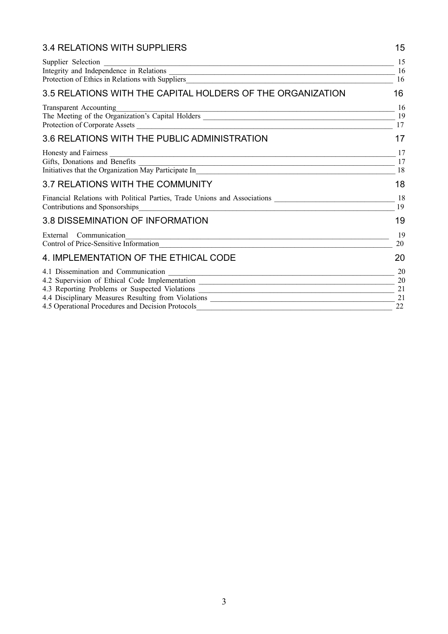| 3.4 RELATIONS WITH SUPPLIERS                                                                                                                                           | 15       |
|------------------------------------------------------------------------------------------------------------------------------------------------------------------------|----------|
| Supplier Selection                                                                                                                                                     | 15<br>16 |
|                                                                                                                                                                        | 16       |
| 3.5 RELATIONS WITH THE CAPITAL HOLDERS OF THE ORGANIZATION                                                                                                             | 16       |
| Transparent Accounting<br><u> 1989 - Johann Stoff, amerikansk politiker (d. 1989)</u>                                                                                  | 16       |
| The Meeting of the Organization's Capital Holders                                                                                                                      | 19<br>17 |
| 3.6 RELATIONS WITH THE PUBLIC ADMINISTRATION                                                                                                                           | 17       |
| Honesty and Fairness<br><u> 1989 - Johann Stoff, Amerikaansk politiker († 1989)</u>                                                                                    | 17       |
|                                                                                                                                                                        | 17<br>18 |
| 3.7 RELATIONS WITH THE COMMUNITY                                                                                                                                       | 18       |
| Financial Relations with Political Parties, Trade Unions and Associations _________________________                                                                    | 18<br>19 |
| 3.8 DISSEMINATION OF INFORMATION                                                                                                                                       | 19       |
| External Communication<br>Control of Price-Sensitive Information                                                                                                       | 19<br>20 |
| 4. IMPLEMENTATION OF THE ETHICAL CODE                                                                                                                                  | 20       |
|                                                                                                                                                                        | 20       |
| 4.2 Supervision of Ethical Code Implementation _________________________________                                                                                       | 20<br>21 |
| 4.3 Reporting Problems or Suspected Violations __________________________________<br>4.4 Disciplinary Measures Resulting from Violations _____________________________ | 21       |
| 4.5 Operational Procedures and Decision Protocols                                                                                                                      | 22       |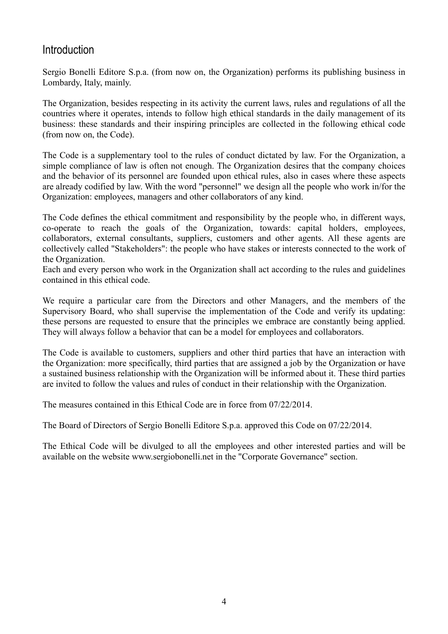#### **Introduction**

Sergio Bonelli Editore S.p.a. (from now on, the Organization) performs its publishing business in Lombardy, Italy, mainly.

The Organization, besides respecting in its activity the current laws, rules and regulations of all the countries where it operates, intends to follow high ethical standards in the daily management of its business: these standards and their inspiring principles are collected in the following ethical code (from now on, the Code).

The Code is a supplementary tool to the rules of conduct dictated by law. For the Organization, a simple compliance of law is often not enough. The Organization desires that the company choices and the behavior of its personnel are founded upon ethical rules, also in cases where these aspects are already codified by law. With the word "personnel" we design all the people who work in/for the Organization: employees, managers and other collaborators of any kind.

The Code defines the ethical commitment and responsibility by the people who, in different ways, co-operate to reach the goals of the Organization, towards: capital holders, employees, collaborators, external consultants, suppliers, customers and other agents. All these agents are collectively called "Stakeholders": the people who have stakes or interests connected to the work of the Organization.

Each and every person who work in the Organization shall act according to the rules and guidelines contained in this ethical code.

We require a particular care from the Directors and other Managers, and the members of the Supervisory Board, who shall supervise the implementation of the Code and verify its updating: these persons are requested to ensure that the principles we embrace are constantly being applied. They will always follow a behavior that can be a model for employees and collaborators.

The Code is available to customers, suppliers and other third parties that have an interaction with the Organization: more specifically, third parties that are assigned a job by the Organization or have a sustained business relationship with the Organization will be informed about it. These third parties are invited to follow the values and rules of conduct in their relationship with the Organization.

The measures contained in this Ethical Code are in force from 07/22/2014.

The Board of Directors of Sergio Bonelli Editore S.p.a. approved this Code on 07/22/2014.

The Ethical Code will be divulged to all the employees and other interested parties and will be available on the website www.sergiobonelli.net in the "Corporate Governance" section.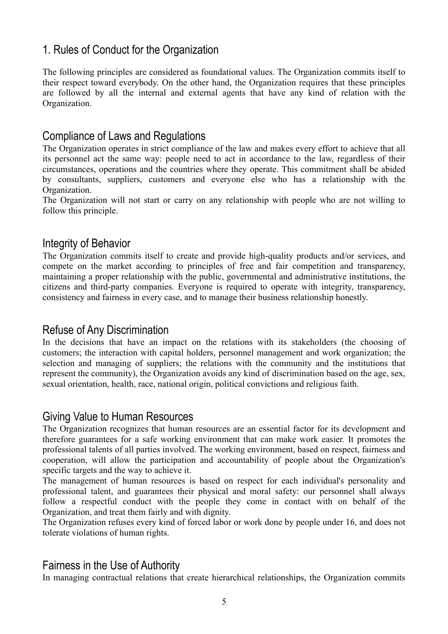# 1. Rules of Conduct for the Organization

The following principles are considered as foundational values. The Organization commits itself to their respect toward everybody. On the other hand, the Organization requires that these principles are followed by all the internal and external agents that have any kind of relation with the Organization.

#### Compliance of Laws and Regulations

The Organization operates in strict compliance of the law and makes every effort to achieve that all its personnel act the same way: people need to act in accordance to the law, regardless of their circumstances, operations and the countries where they operate. This commitment shall be abided by consultants, suppliers, customers and everyone else who has a relationship with the Organization.

The Organization will not start or carry on any relationship with people who are not willing to follow this principle.

#### Integrity of Behavior

The Organization commits itself to create and provide high-quality products and/or services, and compete on the market according to principles of free and fair competition and transparency, maintaining a proper relationship with the public, governmental and administrative institutions, the citizens and third-party companies. Everyone is required to operate with integrity, transparency, consistency and fairness in every case, and to manage their business relationship honestly.

#### Refuse of Any Discrimination

In the decisions that have an impact on the relations with its stakeholders (the choosing of customers; the interaction with capital holders, personnel management and work organization; the selection and managing of suppliers; the relations with the community and the institutions that represent the community), the Organization avoids any kind of discrimination based on the age, sex, sexual orientation, health, race, national origin, political convictions and religious faith.

#### Giving Value to Human Resources

The Organization recognizes that human resources are an essential factor for its development and therefore guarantees for a safe working environment that can make work easier. It promotes the professional talents of all parties involved. The working environment, based on respect, fairness and cooperation, will allow the participation and accountability of people about the Organization's specific targets and the way to achieve it.

The management of human resources is based on respect for each individual's personality and professional talent, and guarantees their physical and moral safety: our personnel shall always follow a respectful conduct with the people they come in contact with on behalf of the Organization, and treat them fairly and with dignity.

The Organization refuses every kind of forced labor or work done by people under 16, and does not tolerate violations of human rights.

#### Fairness in the Use of Authority

In managing contractual relations that create hierarchical relationships, the Organization commits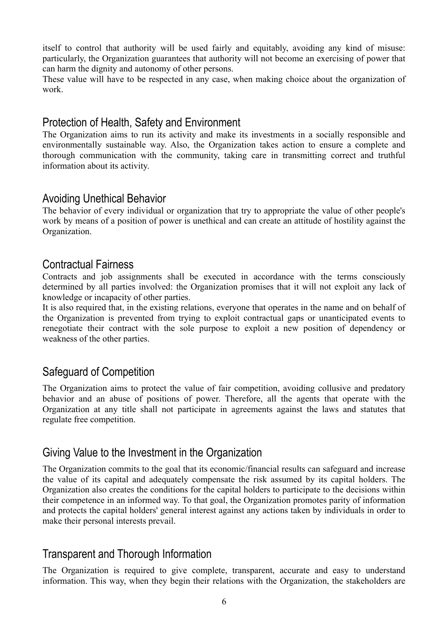itself to control that authority will be used fairly and equitably, avoiding any kind of misuse: particularly, the Organization guarantees that authority will not become an exercising of power that can harm the dignity and autonomy of other persons.

These value will have to be respected in any case, when making choice about the organization of work.

#### Protection of Health, Safety and Environment

The Organization aims to run its activity and make its investments in a socially responsible and environmentally sustainable way. Also, the Organization takes action to ensure a complete and thorough communication with the community, taking care in transmitting correct and truthful information about its activity.

# Avoiding Unethical Behavior

The behavior of every individual or organization that try to appropriate the value of other people's work by means of a position of power is unethical and can create an attitude of hostility against the Organization.

#### Contractual Fairness

Contracts and job assignments shall be executed in accordance with the terms consciously determined by all parties involved: the Organization promises that it will not exploit any lack of knowledge or incapacity of other parties.

It is also required that, in the existing relations, everyone that operates in the name and on behalf of the Organization is prevented from trying to exploit contractual gaps or unanticipated events to renegotiate their contract with the sole purpose to exploit a new position of dependency or weakness of the other parties.

## Safeguard of Competition

The Organization aims to protect the value of fair competition, avoiding collusive and predatory behavior and an abuse of positions of power. Therefore, all the agents that operate with the Organization at any title shall not participate in agreements against the laws and statutes that regulate free competition.

## Giving Value to the Investment in the Organization

The Organization commits to the goal that its economic/financial results can safeguard and increase the value of its capital and adequately compensate the risk assumed by its capital holders. The Organization also creates the conditions for the capital holders to participate to the decisions within their competence in an informed way. To that goal, the Organization promotes parity of information and protects the capital holders' general interest against any actions taken by individuals in order to make their personal interests prevail.

## Transparent and Thorough Information

The Organization is required to give complete, transparent, accurate and easy to understand information. This way, when they begin their relations with the Organization, the stakeholders are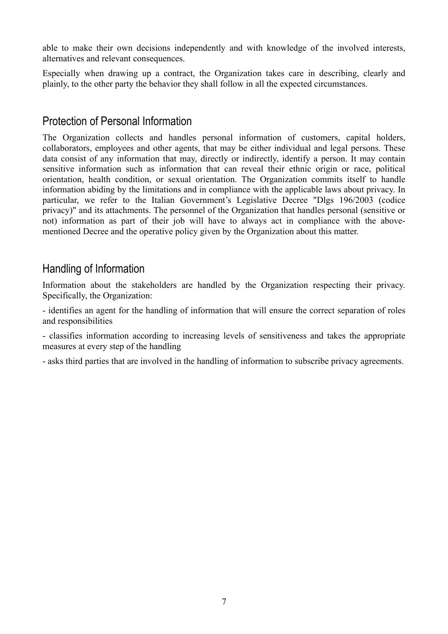able to make their own decisions independently and with knowledge of the involved interests, alternatives and relevant consequences.

Especially when drawing up a contract, the Organization takes care in describing, clearly and plainly, to the other party the behavior they shall follow in all the expected circumstances.

## Protection of Personal Information

The Organization collects and handles personal information of customers, capital holders, collaborators, employees and other agents, that may be either individual and legal persons. These data consist of any information that may, directly or indirectly, identify a person. It may contain sensitive information such as information that can reveal their ethnic origin or race, political orientation, health condition, or sexual orientation. The Organization commits itself to handle information abiding by the limitations and in compliance with the applicable laws about privacy. In particular, we refer to the Italian Government's Legislative Decree "Dlgs 196/2003 (codice privacy)" and its attachments. The personnel of the Organization that handles personal (sensitive or not) information as part of their job will have to always act in compliance with the abovementioned Decree and the operative policy given by the Organization about this matter.

## Handling of Information

Information about the stakeholders are handled by the Organization respecting their privacy. Specifically, the Organization:

- identifies an agent for the handling of information that will ensure the correct separation of roles and responsibilities

- classifies information according to increasing levels of sensitiveness and takes the appropriate measures at every step of the handling

- asks third parties that are involved in the handling of information to subscribe privacy agreements.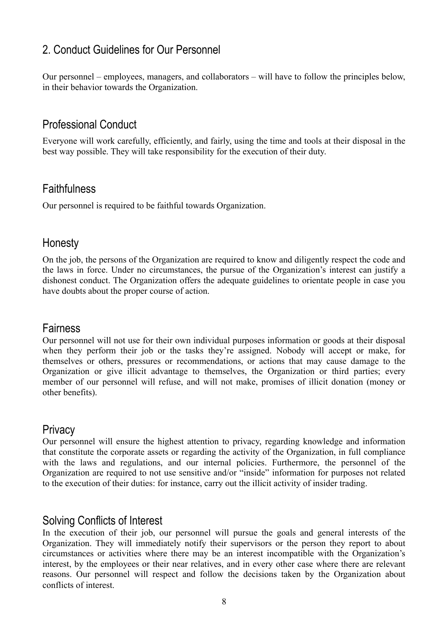# 2. Conduct Guidelines for Our Personnel

Our personnel – employees, managers, and collaborators – will have to follow the principles below, in their behavior towards the Organization.

## Professional Conduct

Everyone will work carefully, efficiently, and fairly, using the time and tools at their disposal in the best way possible. They will take responsibility for the execution of their duty.

#### **Faithfulness**

Our personnel is required to be faithful towards Organization.

#### Honesty

On the job, the persons of the Organization are required to know and diligently respect the code and the laws in force. Under no circumstances, the pursue of the Organization's interest can justify a dishonest conduct. The Organization offers the adequate guidelines to orientate people in case you have doubts about the proper course of action.

#### Fairness

Our personnel will not use for their own individual purposes information or goods at their disposal when they perform their job or the tasks they're assigned. Nobody will accept or make, for themselves or others, pressures or recommendations, or actions that may cause damage to the Organization or give illicit advantage to themselves, the Organization or third parties; every member of our personnel will refuse, and will not make, promises of illicit donation (money or other benefits).

#### **Privacy**

Our personnel will ensure the highest attention to privacy, regarding knowledge and information that constitute the corporate assets or regarding the activity of the Organization, in full compliance with the laws and regulations, and our internal policies. Furthermore, the personnel of the Organization are required to not use sensitive and/or "inside" information for purposes not related to the execution of their duties: for instance, carry out the illicit activity of insider trading.

#### Solving Conflicts of Interest

In the execution of their job, our personnel will pursue the goals and general interests of the Organization. They will immediately notify their supervisors or the person they report to about circumstances or activities where there may be an interest incompatible with the Organization's interest, by the employees or their near relatives, and in every other case where there are relevant reasons. Our personnel will respect and follow the decisions taken by the Organization about conflicts of interest.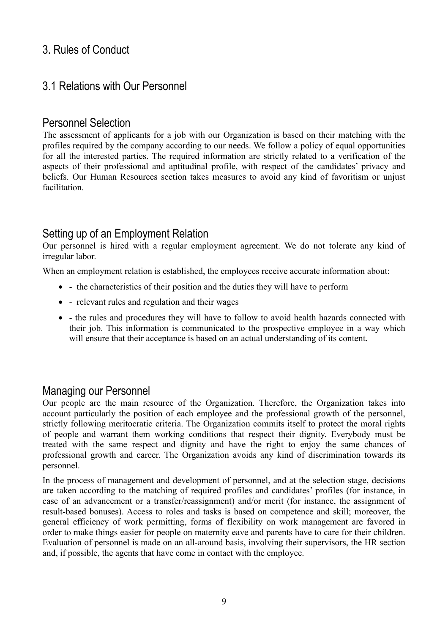# 3. Rules of Conduct

# 3.1 Relations with Our Personnel

### Personnel Selection

The assessment of applicants for a job with our Organization is based on their matching with the profiles required by the company according to our needs. We follow a policy of equal opportunities for all the interested parties. The required information are strictly related to a verification of the aspects of their professional and aptitudinal profile, with respect of the candidates' privacy and beliefs. Our Human Resources section takes measures to avoid any kind of favoritism or unjust facilitation.

# Setting up of an Employment Relation

Our personnel is hired with a regular employment agreement. We do not tolerate any kind of irregular labor.

When an employment relation is established, the employees receive accurate information about:

- - the characteristics of their position and the duties they will have to perform
- - relevant rules and regulation and their wages
- - the rules and procedures they will have to follow to avoid health hazards connected with their job. This information is communicated to the prospective employee in a way which will ensure that their acceptance is based on an actual understanding of its content.

#### Managing our Personnel

Our people are the main resource of the Organization. Therefore, the Organization takes into account particularly the position of each employee and the professional growth of the personnel, strictly following meritocratic criteria. The Organization commits itself to protect the moral rights of people and warrant them working conditions that respect their dignity. Everybody must be treated with the same respect and dignity and have the right to enjoy the same chances of professional growth and career. The Organization avoids any kind of discrimination towards its personnel.

In the process of management and development of personnel, and at the selection stage, decisions are taken according to the matching of required profiles and candidates' profiles (for instance, in case of an advancement or a transfer/reassignment) and/or merit (for instance, the assignment of result-based bonuses). Access to roles and tasks is based on competence and skill; moreover, the general efficiency of work permitting, forms of flexibility on work management are favored in order to make things easier for people on maternity eave and parents have to care for their children. Evaluation of personnel is made on an all-around basis, involving their supervisors, the HR section and, if possible, the agents that have come in contact with the employee.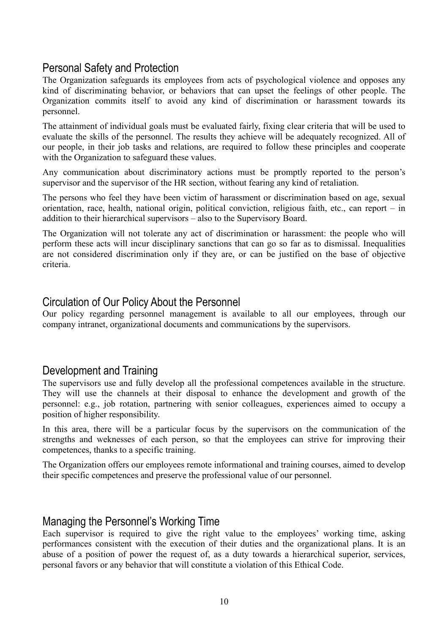## Personal Safety and Protection

The Organization safeguards its employees from acts of psychological violence and opposes any kind of discriminating behavior, or behaviors that can upset the feelings of other people. The Organization commits itself to avoid any kind of discrimination or harassment towards its personnel.

The attainment of individual goals must be evaluated fairly, fixing clear criteria that will be used to evaluate the skills of the personnel. The results they achieve will be adequately recognized. All of our people, in their job tasks and relations, are required to follow these principles and cooperate with the Organization to safeguard these values.

Any communication about discriminatory actions must be promptly reported to the person's supervisor and the supervisor of the HR section, without fearing any kind of retaliation.

The persons who feel they have been victim of harassment or discrimination based on age, sexual orientation, race, health, national origin, political conviction, religious faith, etc., can report – in addition to their hierarchical supervisors – also to the Supervisory Board.

The Organization will not tolerate any act of discrimination or harassment: the people who will perform these acts will incur disciplinary sanctions that can go so far as to dismissal. Inequalities are not considered discrimination only if they are, or can be justified on the base of objective criteria.

#### Circulation of Our Policy About the Personnel

Our policy regarding personnel management is available to all our employees, through our company intranet, organizational documents and communications by the supervisors.

#### Development and Training

The supervisors use and fully develop all the professional competences available in the structure. They will use the channels at their disposal to enhance the development and growth of the personnel: e.g., job rotation, partnering with senior colleagues, experiences aimed to occupy a position of higher responsibility.

In this area, there will be a particular focus by the supervisors on the communication of the strengths and weknesses of each person, so that the employees can strive for improving their competences, thanks to a specific training.

The Organization offers our employees remote informational and training courses, aimed to develop their specific competences and preserve the professional value of our personnel.

#### Managing the Personnel's Working Time

Each supervisor is required to give the right value to the employees' working time, asking performances consistent with the execution of their duties and the organizational plans. It is an abuse of a position of power the request of, as a duty towards a hierarchical superior, services, personal favors or any behavior that will constitute a violation of this Ethical Code.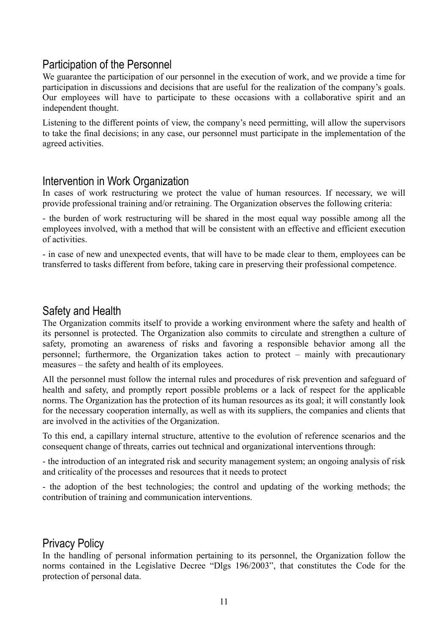## Participation of the Personnel

We guarantee the participation of our personnel in the execution of work, and we provide a time for participation in discussions and decisions that are useful for the realization of the company's goals. Our employees will have to participate to these occasions with a collaborative spirit and an independent thought.

Listening to the different points of view, the company's need permitting, will allow the supervisors to take the final decisions; in any case, our personnel must participate in the implementation of the agreed activities.

#### Intervention in Work Organization

In cases of work restructuring we protect the value of human resources. If necessary, we will provide professional training and/or retraining. The Organization observes the following criteria:

- the burden of work restructuring will be shared in the most equal way possible among all the employees involved, with a method that will be consistent with an effective and efficient execution of activities.

- in case of new and unexpected events, that will have to be made clear to them, employees can be transferred to tasks different from before, taking care in preserving their professional competence.

### Safety and Health

The Organization commits itself to provide a working environment where the safety and health of its personnel is protected. The Organization also commits to circulate and strengthen a culture of safety, promoting an awareness of risks and favoring a responsible behavior among all the personnel; furthermore, the Organization takes action to protect – mainly with precautionary measures – the safety and health of its employees.

All the personnel must follow the internal rules and procedures of risk prevention and safeguard of health and safety, and promptly report possible problems or a lack of respect for the applicable norms. The Organization has the protection of its human resources as its goal; it will constantly look for the necessary cooperation internally, as well as with its suppliers, the companies and clients that are involved in the activities of the Organization.

To this end, a capillary internal structure, attentive to the evolution of reference scenarios and the consequent change of threats, carries out technical and organizational interventions through:

- the introduction of an integrated risk and security management system; an ongoing analysis of risk and criticality of the processes and resources that it needs to protect

- the adoption of the best technologies; the control and updating of the working methods; the contribution of training and communication interventions.

#### Privacy Policy

In the handling of personal information pertaining to its personnel, the Organization follow the norms contained in the Legislative Decree "Dlgs 196/2003", that constitutes the Code for the protection of personal data.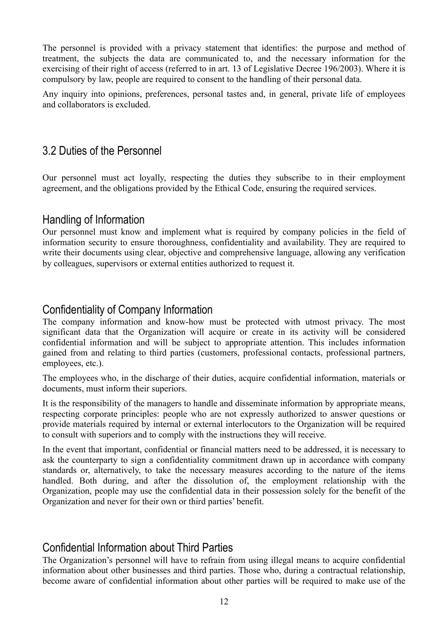The personnel is provided with a privacy statement that identifies: the purpose and method of treatment, the subjects the data are communicated to, and the necessary information for the exercising of their right of access (referred to in art. 13 of Legislative Decree 196/2003). Where it is compulsory by law, people are required to consent to the handling of their personal data.

Any inquiry into opinions, preferences, personal tastes and, in general, private life of employees and collaborators is excluded.

## 3.2 Duties of the Personnel

Our personnel must act loyally, respecting the duties they subscribe to in their employment agreement, and the obligations provided by the Ethical Code, ensuring the required services.

#### Handling of Information

Our personnel must know and implement what is required by company policies in the field of information security to ensure thoroughness, confidentiality and availability. They are required to write their documents using clear, objective and comprehensive language, allowing any verification by colleagues, supervisors or external entities authorized to request it.

#### Confidentiality of Company Information

The company information and know-how must be protected with utmost privacy. The most significant data that the Organization will acquire or create in its activity will be considered confidential information and will be subject to appropriate attention. This includes information gained from and relating to third parties (customers, professional contacts, professional partners, employees, etc.).

The employees who, in the discharge of their duties, acquire confidential information, materials or documents, must inform their superiors.

It is the responsibility of the managers to handle and disseminate information by appropriate means, respecting corporate principles: people who are not expressly authorized to answer questions or provide materials required by internal or external interlocutors to the Organization will be required to consult with superiors and to comply with the instructions they will receive.

In the event that important, confidential or financial matters need to be addressed, it is necessary to ask the counterparty to sign a confidentiality commitment drawn up in accordance with company standards or, alternatively, to take the necessary measures according to the nature of the items handled. Both during, and after the dissolution of, the employment relationship with the Organization, people may use the confidential data in their possession solely for the benefit of the Organization and never for their own or third parties' benefit.

## Confidential Information about Third Parties

The Organization's personnel will have to refrain from using illegal means to acquire confidential information about other businesses and third parties. Those who, during a contractual relationship, become aware of confidential information about other parties will be required to make use of the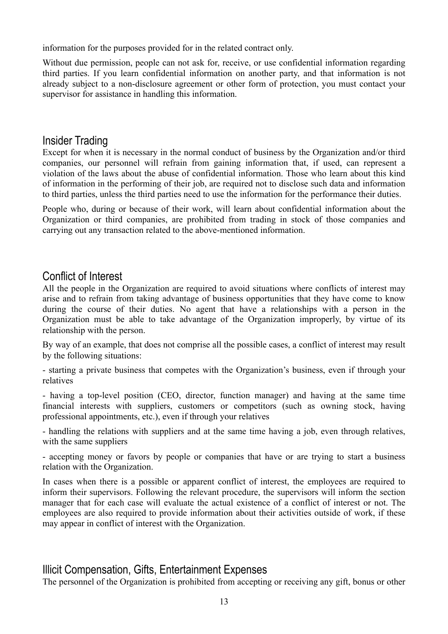information for the purposes provided for in the related contract only.

Without due permission, people can not ask for, receive, or use confidential information regarding third parties. If you learn confidential information on another party, and that information is not already subject to a non-disclosure agreement or other form of protection, you must contact your supervisor for assistance in handling this information.

#### Insider Trading

Except for when it is necessary in the normal conduct of business by the Organization and/or third companies, our personnel will refrain from gaining information that, if used, can represent a violation of the laws about the abuse of confidential information. Those who learn about this kind of information in the performing of their job, are required not to disclose such data and information to third parties, unless the third parties need to use the information for the performance their duties.

People who, during or because of their work, will learn about confidential information about the Organization or third companies, are prohibited from trading in stock of those companies and carrying out any transaction related to the above-mentioned information.

#### Conflict of Interest

All the people in the Organization are required to avoid situations where conflicts of interest may arise and to refrain from taking advantage of business opportunities that they have come to know during the course of their duties. No agent that have a relationships with a person in the Organization must be able to take advantage of the Organization improperly, by virtue of its relationship with the person.

By way of an example, that does not comprise all the possible cases, a conflict of interest may result by the following situations:

- starting a private business that competes with the Organization's business, even if through your relatives

- having a top-level position (CEO, director, function manager) and having at the same time financial interests with suppliers, customers or competitors (such as owning stock, having professional appointments, etc.), even if through your relatives

- handling the relations with suppliers and at the same time having a job, even through relatives, with the same suppliers

- accepting money or favors by people or companies that have or are trying to start a business relation with the Organization.

In cases when there is a possible or apparent conflict of interest, the employees are required to inform their supervisors. Following the relevant procedure, the supervisors will inform the section manager that for each case will evaluate the actual existence of a conflict of interest or not. The employees are also required to provide information about their activities outside of work, if these may appear in conflict of interest with the Organization.

## Illicit Compensation, Gifts, Entertainment Expenses

The personnel of the Organization is prohibited from accepting or receiving any gift, bonus or other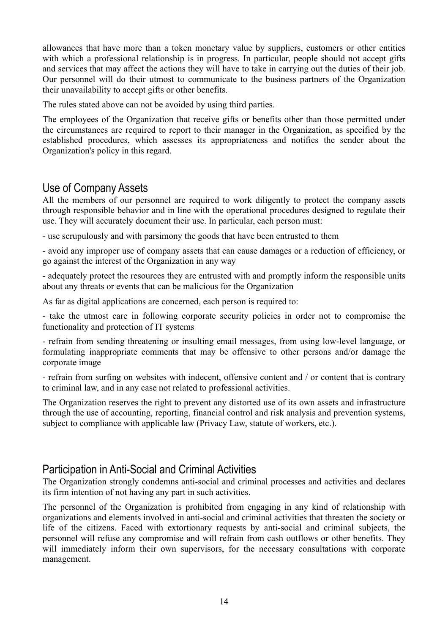allowances that have more than a token monetary value by suppliers, customers or other entities with which a professional relationship is in progress. In particular, people should not accept gifts and services that may affect the actions they will have to take in carrying out the duties of their job. Our personnel will do their utmost to communicate to the business partners of the Organization their unavailability to accept gifts or other benefits.

The rules stated above can not be avoided by using third parties.

The employees of the Organization that receive gifts or benefits other than those permitted under the circumstances are required to report to their manager in the Organization, as specified by the established procedures, which assesses its appropriateness and notifies the sender about the Organization's policy in this regard.

## Use of Company Assets

All the members of our personnel are required to work diligently to protect the company assets through responsible behavior and in line with the operational procedures designed to regulate their use. They will accurately document their use. In particular, each person must:

- use scrupulously and with parsimony the goods that have been entrusted to them

- avoid any improper use of company assets that can cause damages or a reduction of efficiency, or go against the interest of the Organization in any way

- adequately protect the resources they are entrusted with and promptly inform the responsible units about any threats or events that can be malicious for the Organization

As far as digital applications are concerned, each person is required to:

- take the utmost care in following corporate security policies in order not to compromise the functionality and protection of IT systems

- refrain from sending threatening or insulting email messages, from using low-level language, or formulating inappropriate comments that may be offensive to other persons and/or damage the corporate image

- refrain from surfing on websites with indecent, offensive content and / or content that is contrary to criminal law, and in any case not related to professional activities.

The Organization reserves the right to prevent any distorted use of its own assets and infrastructure through the use of accounting, reporting, financial control and risk analysis and prevention systems, subject to compliance with applicable law (Privacy Law, statute of workers, etc.).

## Participation in Anti-Social and Criminal Activities

The Organization strongly condemns anti-social and criminal processes and activities and declares its firm intention of not having any part in such activities.

The personnel of the Organization is prohibited from engaging in any kind of relationship with organizations and elements involved in anti-social and criminal activities that threaten the society or life of the citizens. Faced with extortionary requests by anti-social and criminal subjects, the personnel will refuse any compromise and will refrain from cash outflows or other benefits. They will immediately inform their own supervisors, for the necessary consultations with corporate management.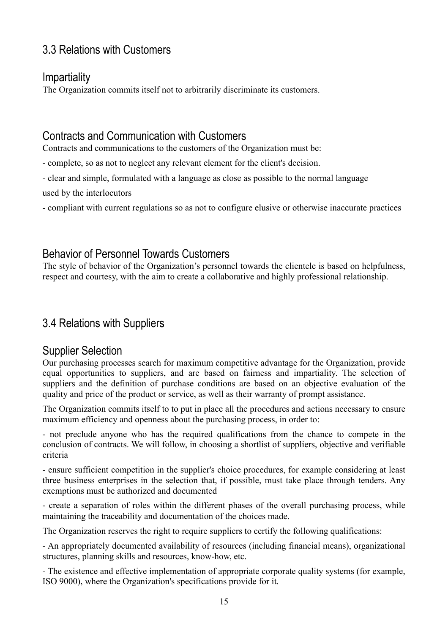# 3.3 Relations with Customers

## **Impartiality**

The Organization commits itself not to arbitrarily discriminate its customers.

# Contracts and Communication with Customers

Contracts and communications to the customers of the Organization must be:

- complete, so as not to neglect any relevant element for the client's decision.

- clear and simple, formulated with a language as close as possible to the normal language

used by the interlocutors

- compliant with current regulations so as not to configure elusive or otherwise inaccurate practices

# Behavior of Personnel Towards Customers

The style of behavior of the Organization's personnel towards the clientele is based on helpfulness, respect and courtesy, with the aim to create a collaborative and highly professional relationship.

# 3.4 Relations with Suppliers

#### Supplier Selection

Our purchasing processes search for maximum competitive advantage for the Organization, provide equal opportunities to suppliers, and are based on fairness and impartiality. The selection of suppliers and the definition of purchase conditions are based on an objective evaluation of the quality and price of the product or service, as well as their warranty of prompt assistance.

The Organization commits itself to to put in place all the procedures and actions necessary to ensure maximum efficiency and openness about the purchasing process, in order to:

- not preclude anyone who has the required qualifications from the chance to compete in the conclusion of contracts. We will follow, in choosing a shortlist of suppliers, objective and verifiable criteria

- ensure sufficient competition in the supplier's choice procedures, for example considering at least three business enterprises in the selection that, if possible, must take place through tenders. Any exemptions must be authorized and documented

- create a separation of roles within the different phases of the overall purchasing process, while maintaining the traceability and documentation of the choices made.

The Organization reserves the right to require suppliers to certify the following qualifications:

- An appropriately documented availability of resources (including financial means), organizational structures, planning skills and resources, know-how, etc.

- The existence and effective implementation of appropriate corporate quality systems (for example, ISO 9000), where the Organization's specifications provide for it.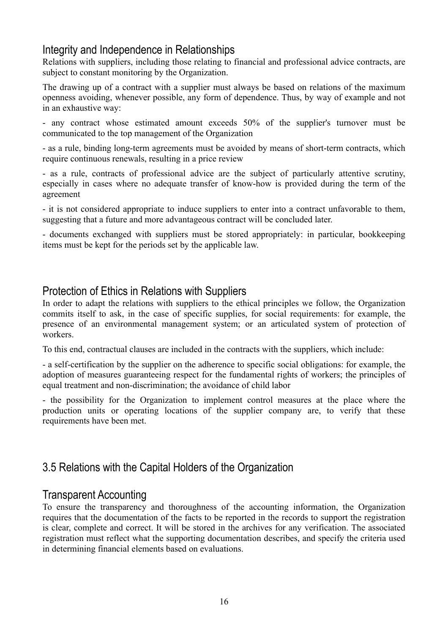## Integrity and Independence in Relationships

Relations with suppliers, including those relating to financial and professional advice contracts, are subject to constant monitoring by the Organization.

The drawing up of a contract with a supplier must always be based on relations of the maximum openness avoiding, whenever possible, any form of dependence. Thus, by way of example and not in an exhaustive way:

- any contract whose estimated amount exceeds 50% of the supplier's turnover must be communicated to the top management of the Organization

- as a rule, binding long-term agreements must be avoided by means of short-term contracts, which require continuous renewals, resulting in a price review

- as a rule, contracts of professional advice are the subject of particularly attentive scrutiny, especially in cases where no adequate transfer of know-how is provided during the term of the agreement

- it is not considered appropriate to induce suppliers to enter into a contract unfavorable to them, suggesting that a future and more advantageous contract will be concluded later.

- documents exchanged with suppliers must be stored appropriately: in particular, bookkeeping items must be kept for the periods set by the applicable law.

#### Protection of Ethics in Relations with Suppliers

In order to adapt the relations with suppliers to the ethical principles we follow, the Organization commits itself to ask, in the case of specific supplies, for social requirements: for example, the presence of an environmental management system; or an articulated system of protection of workers.

To this end, contractual clauses are included in the contracts with the suppliers, which include:

- a self-certification by the supplier on the adherence to specific social obligations: for example, the adoption of measures guaranteeing respect for the fundamental rights of workers; the principles of equal treatment and non-discrimination; the avoidance of child labor

- the possibility for the Organization to implement control measures at the place where the production units or operating locations of the supplier company are, to verify that these requirements have been met.

# 3.5 Relations with the Capital Holders of the Organization

## Transparent Accounting

To ensure the transparency and thoroughness of the accounting information, the Organization requires that the documentation of the facts to be reported in the records to support the registration is clear, complete and correct. It will be stored in the archives for any verification. The associated registration must reflect what the supporting documentation describes, and specify the criteria used in determining financial elements based on evaluations.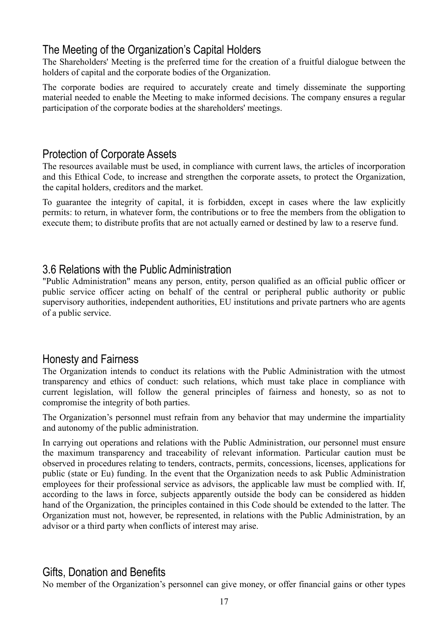## The Meeting of the Organization's Capital Holders

The Shareholders' Meeting is the preferred time for the creation of a fruitful dialogue between the holders of capital and the corporate bodies of the Organization.

The corporate bodies are required to accurately create and timely disseminate the supporting material needed to enable the Meeting to make informed decisions. The company ensures a regular participation of the corporate bodies at the shareholders' meetings.

#### Protection of Corporate Assets

The resources available must be used, in compliance with current laws, the articles of incorporation and this Ethical Code, to increase and strengthen the corporate assets, to protect the Organization, the capital holders, creditors and the market.

To guarantee the integrity of capital, it is forbidden, except in cases where the law explicitly permits: to return, in whatever form, the contributions or to free the members from the obligation to execute them; to distribute profits that are not actually earned or destined by law to a reserve fund.

## 3.6 Relations with the Public Administration

"Public Administration" means any person, entity, person qualified as an official public officer or public service officer acting on behalf of the central or peripheral public authority or public supervisory authorities, independent authorities, EU institutions and private partners who are agents of a public service.

## Honesty and Fairness

The Organization intends to conduct its relations with the Public Administration with the utmost transparency and ethics of conduct: such relations, which must take place in compliance with current legislation, will follow the general principles of fairness and honesty, so as not to compromise the integrity of both parties.

The Organization's personnel must refrain from any behavior that may undermine the impartiality and autonomy of the public administration.

In carrying out operations and relations with the Public Administration, our personnel must ensure the maximum transparency and traceability of relevant information. Particular caution must be observed in procedures relating to tenders, contracts, permits, concessions, licenses, applications for public (state or Eu) funding. In the event that the Organization needs to ask Public Administration employees for their professional service as advisors, the applicable law must be complied with. If, according to the laws in force, subjects apparently outside the body can be considered as hidden hand of the Organization, the principles contained in this Code should be extended to the latter. The Organization must not, however, be represented, in relations with the Public Administration, by an advisor or a third party when conflicts of interest may arise.

## Gifts, Donation and Benefits

No member of the Organization's personnel can give money, or offer financial gains or other types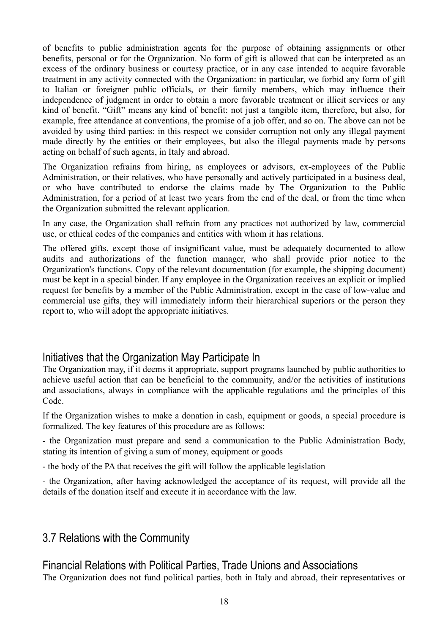of benefits to public administration agents for the purpose of obtaining assignments or other benefits, personal or for the Organization. No form of gift is allowed that can be interpreted as an excess of the ordinary business or courtesy practice, or in any case intended to acquire favorable treatment in any activity connected with the Organization: in particular, we forbid any form of gift to Italian or foreigner public officials, or their family members, which may influence their independence of judgment in order to obtain a more favorable treatment or illicit services or any kind of benefit. "Gift" means any kind of benefit: not just a tangible item, therefore, but also, for example, free attendance at conventions, the promise of a job offer, and so on. The above can not be avoided by using third parties: in this respect we consider corruption not only any illegal payment made directly by the entities or their employees, but also the illegal payments made by persons acting on behalf of such agents, in Italy and abroad.

The Organization refrains from hiring, as employees or advisors, ex-employees of the Public Administration, or their relatives, who have personally and actively participated in a business deal, or who have contributed to endorse the claims made by The Organization to the Public Administration, for a period of at least two years from the end of the deal, or from the time when the Organization submitted the relevant application.

In any case, the Organization shall refrain from any practices not authorized by law, commercial use, or ethical codes of the companies and entities with whom it has relations.

The offered gifts, except those of insignificant value, must be adequately documented to allow audits and authorizations of the function manager, who shall provide prior notice to the Organization's functions. Copy of the relevant documentation (for example, the shipping document) must be kept in a special binder. If any employee in the Organization receives an explicit or implied request for benefits by a member of the Public Administration, except in the case of low-value and commercial use gifts, they will immediately inform their hierarchical superiors or the person they report to, who will adopt the appropriate initiatives.

## Initiatives that the Organization May Participate In

The Organization may, if it deems it appropriate, support programs launched by public authorities to achieve useful action that can be beneficial to the community, and/or the activities of institutions and associations, always in compliance with the applicable regulations and the principles of this Code.

If the Organization wishes to make a donation in cash, equipment or goods, a special procedure is formalized. The key features of this procedure are as follows:

- the Organization must prepare and send a communication to the Public Administration Body, stating its intention of giving a sum of money, equipment or goods

- the body of the PA that receives the gift will follow the applicable legislation

- the Organization, after having acknowledged the acceptance of its request, will provide all the details of the donation itself and execute it in accordance with the law.

## 3.7 Relations with the Community

## Financial Relations with Political Parties, Trade Unions and Associations

The Organization does not fund political parties, both in Italy and abroad, their representatives or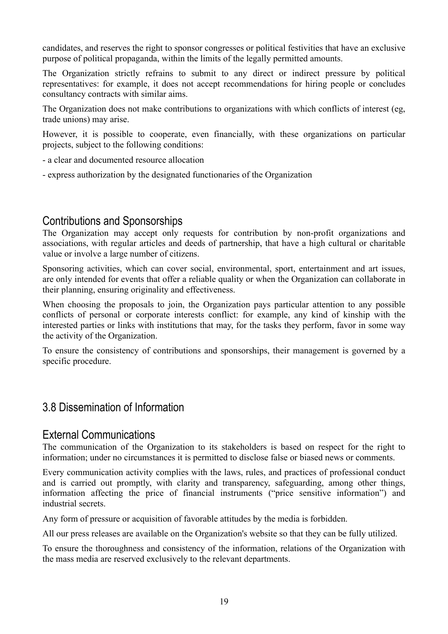candidates, and reserves the right to sponsor congresses or political festivities that have an exclusive purpose of political propaganda, within the limits of the legally permitted amounts.

The Organization strictly refrains to submit to any direct or indirect pressure by political representatives: for example, it does not accept recommendations for hiring people or concludes consultancy contracts with similar aims.

The Organization does not make contributions to organizations with which conflicts of interest (eg, trade unions) may arise.

However, it is possible to cooperate, even financially, with these organizations on particular projects, subject to the following conditions:

- a clear and documented resource allocation
- express authorization by the designated functionaries of the Organization

#### Contributions and Sponsorships

The Organization may accept only requests for contribution by non-profit organizations and associations, with regular articles and deeds of partnership, that have a high cultural or charitable value or involve a large number of citizens.

Sponsoring activities, which can cover social, environmental, sport, entertainment and art issues, are only intended for events that offer a reliable quality or when the Organization can collaborate in their planning, ensuring originality and effectiveness.

When choosing the proposals to join, the Organization pays particular attention to any possible conflicts of personal or corporate interests conflict: for example, any kind of kinship with the interested parties or links with institutions that may, for the tasks they perform, favor in some way the activity of the Organization.

To ensure the consistency of contributions and sponsorships, their management is governed by a specific procedure.

## 3.8 Dissemination of Information

#### External Communications

The communication of the Organization to its stakeholders is based on respect for the right to information; under no circumstances it is permitted to disclose false or biased news or comments.

Every communication activity complies with the laws, rules, and practices of professional conduct and is carried out promptly, with clarity and transparency, safeguarding, among other things, information affecting the price of financial instruments ("price sensitive information") and industrial secrets.

Any form of pressure or acquisition of favorable attitudes by the media is forbidden.

All our press releases are available on the Organization's website so that they can be fully utilized.

To ensure the thoroughness and consistency of the information, relations of the Organization with the mass media are reserved exclusively to the relevant departments.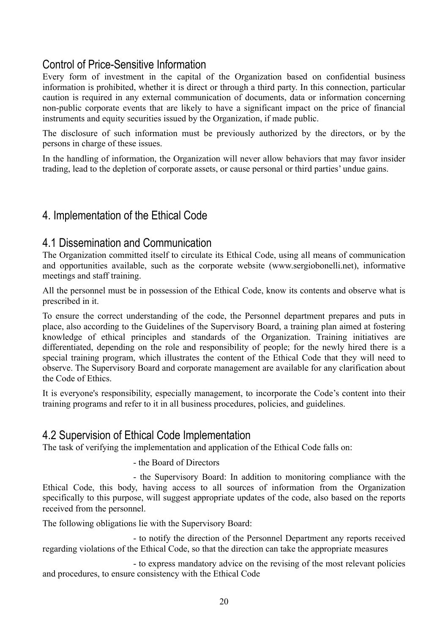## Control of Price-Sensitive Information

Every form of investment in the capital of the Organization based on confidential business information is prohibited, whether it is direct or through a third party. In this connection, particular caution is required in any external communication of documents, data or information concerning non-public corporate events that are likely to have a significant impact on the price of financial instruments and equity securities issued by the Organization, if made public.

The disclosure of such information must be previously authorized by the directors, or by the persons in charge of these issues.

In the handling of information, the Organization will never allow behaviors that may favor insider trading, lead to the depletion of corporate assets, or cause personal or third parties' undue gains.

## 4. Implementation of the Ethical Code

### 4.1 Dissemination and Communication

The Organization committed itself to circulate its Ethical Code, using all means of communication and opportunities available, such as the corporate website (www.sergiobonelli.net), informative meetings and staff training.

All the personnel must be in possession of the Ethical Code, know its contents and observe what is prescribed in it.

To ensure the correct understanding of the code, the Personnel department prepares and puts in place, also according to the Guidelines of the Supervisory Board, a training plan aimed at fostering knowledge of ethical principles and standards of the Organization. Training initiatives are differentiated, depending on the role and responsibility of people; for the newly hired there is a special training program, which illustrates the content of the Ethical Code that they will need to observe. The Supervisory Board and corporate management are available for any clarification about the Code of Ethics.

It is everyone's responsibility, especially management, to incorporate the Code's content into their training programs and refer to it in all business procedures, policies, and guidelines.

#### 4.2 Supervision of Ethical Code Implementation

The task of verifying the implementation and application of the Ethical Code falls on:

- the Board of Directors

- the Supervisory Board: In addition to monitoring compliance with the Ethical Code, this body, having access to all sources of information from the Organization specifically to this purpose, will suggest appropriate updates of the code, also based on the reports received from the personnel.

The following obligations lie with the Supervisory Board:

- to notify the direction of the Personnel Department any reports received regarding violations of the Ethical Code, so that the direction can take the appropriate measures

- to express mandatory advice on the revising of the most relevant policies and procedures, to ensure consistency with the Ethical Code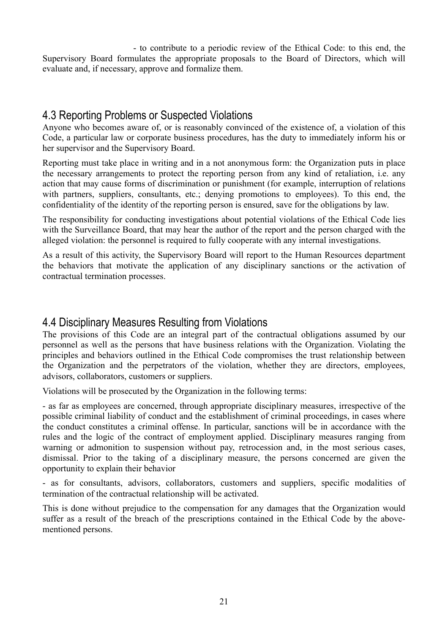- to contribute to a periodic review of the Ethical Code: to this end, the Supervisory Board formulates the appropriate proposals to the Board of Directors, which will evaluate and, if necessary, approve and formalize them.

## 4.3 Reporting Problems or Suspected Violations

Anyone who becomes aware of, or is reasonably convinced of the existence of, a violation of this Code, a particular law or corporate business procedures, has the duty to immediately inform his or her supervisor and the Supervisory Board.

Reporting must take place in writing and in a not anonymous form: the Organization puts in place the necessary arrangements to protect the reporting person from any kind of retaliation, i.e. any action that may cause forms of discrimination or punishment (for example, interruption of relations with partners, suppliers, consultants, etc.; denying promotions to employees). To this end, the confidentiality of the identity of the reporting person is ensured, save for the obligations by law.

The responsibility for conducting investigations about potential violations of the Ethical Code lies with the Surveillance Board, that may hear the author of the report and the person charged with the alleged violation: the personnel is required to fully cooperate with any internal investigations.

As a result of this activity, the Supervisory Board will report to the Human Resources department the behaviors that motivate the application of any disciplinary sanctions or the activation of contractual termination processes.

## 4.4 Disciplinary Measures Resulting from Violations

The provisions of this Code are an integral part of the contractual obligations assumed by our personnel as well as the persons that have business relations with the Organization. Violating the principles and behaviors outlined in the Ethical Code compromises the trust relationship between the Organization and the perpetrators of the violation, whether they are directors, employees, advisors, collaborators, customers or suppliers.

Violations will be prosecuted by the Organization in the following terms:

- as far as employees are concerned, through appropriate disciplinary measures, irrespective of the possible criminal liability of conduct and the establishment of criminal proceedings, in cases where the conduct constitutes a criminal offense. In particular, sanctions will be in accordance with the rules and the logic of the contract of employment applied. Disciplinary measures ranging from warning or admonition to suspension without pay, retrocession and, in the most serious cases, dismissal. Prior to the taking of a disciplinary measure, the persons concerned are given the opportunity to explain their behavior

- as for consultants, advisors, collaborators, customers and suppliers, specific modalities of termination of the contractual relationship will be activated.

This is done without prejudice to the compensation for any damages that the Organization would suffer as a result of the breach of the prescriptions contained in the Ethical Code by the abovementioned persons.